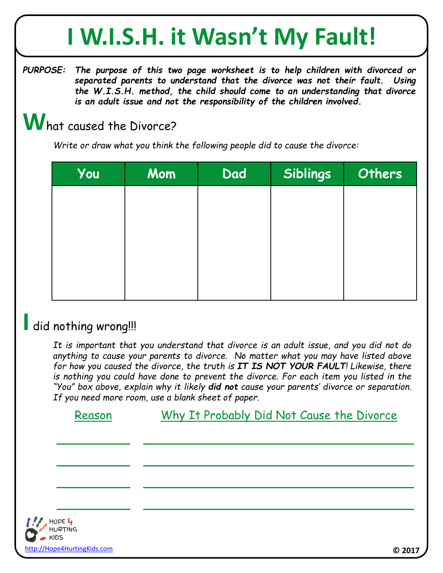## **I W.I.S.H. it Wasn't My Fault!**

*PURPOSE: The purpose of this two page worksheet is to help children with divorced or separated parents to understand that the divorce was not their fault. Using the W.I.S.H. method, the child should come to an understanding that divorce is an adult issue and not the responsibility of the children involved.*

#### **W**hat caused the Divorce?

*Write or draw what you think the following people did to cause the divorce:*

| You | Mom | Dad | Siblings | Others |
|-----|-----|-----|----------|--------|
|     |     |     |          |        |
|     |     |     |          |        |
|     |     |     |          |        |
|     |     |     |          |        |
|     |     |     |          |        |

#### **I** did nothing wrong!!!

*It is important that you understand that divorce is an adult issue, and you did not do anything to cause your parents to divorce. No matter what you may have listed above for how you caused the divorce, the truth is IT IS NOT YOUR FAULT! Likewise, there is nothing you could have done to prevent the divorce. For each item you listed in the "You" box above, explain why it likely did not cause your parents' divorce or separation. If you need more room, use a blank sheet of paper.*

Reason Why It Probably Did Not Cause the Divorce